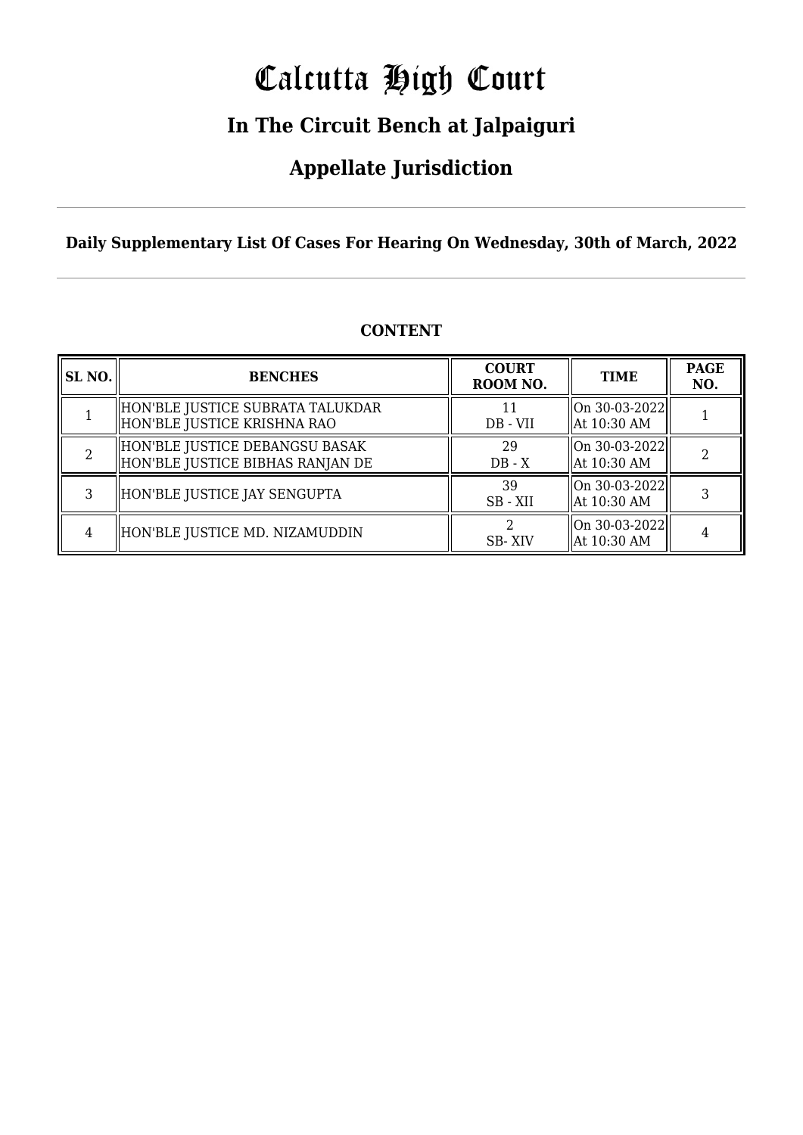# Calcutta High Court

## **In The Circuit Bench at Jalpaiguri**

## **Appellate Jurisdiction**

**Daily Supplementary List Of Cases For Hearing On Wednesday, 30th of March, 2022**

| <b>SL NO.</b> | <b>BENCHES</b>                                                     | <b>COURT</b><br>ROOM NO. | <b>TIME</b>                        | <b>PAGE</b><br>NO. |
|---------------|--------------------------------------------------------------------|--------------------------|------------------------------------|--------------------|
|               | HON'BLE JUSTICE SUBRATA TALUKDAR<br>HON'BLE JUSTICE KRISHNA RAO    | DB - VII                 | $ On 30-03-2022 $<br>  At 10:30 AM |                    |
|               | HON'BLE JUSTICE DEBANGSU BASAK<br>HON'BLE JUSTICE BIBHAS RANJAN DE | 29<br>$DB - X$           | On 30-03-2022  <br>  At 10:30 AM   |                    |
|               | HON'BLE JUSTICE JAY SENGUPTA                                       | 39<br>SB - XII           | On 30-03-2022  <br>  At 10:30 AM   |                    |
|               | HON'BLE JUSTICE MD. NIZAMUDDIN                                     | SB-XIV                   | $ On 30-03-2022 $<br>  At 10:30 AM |                    |

### **CONTENT**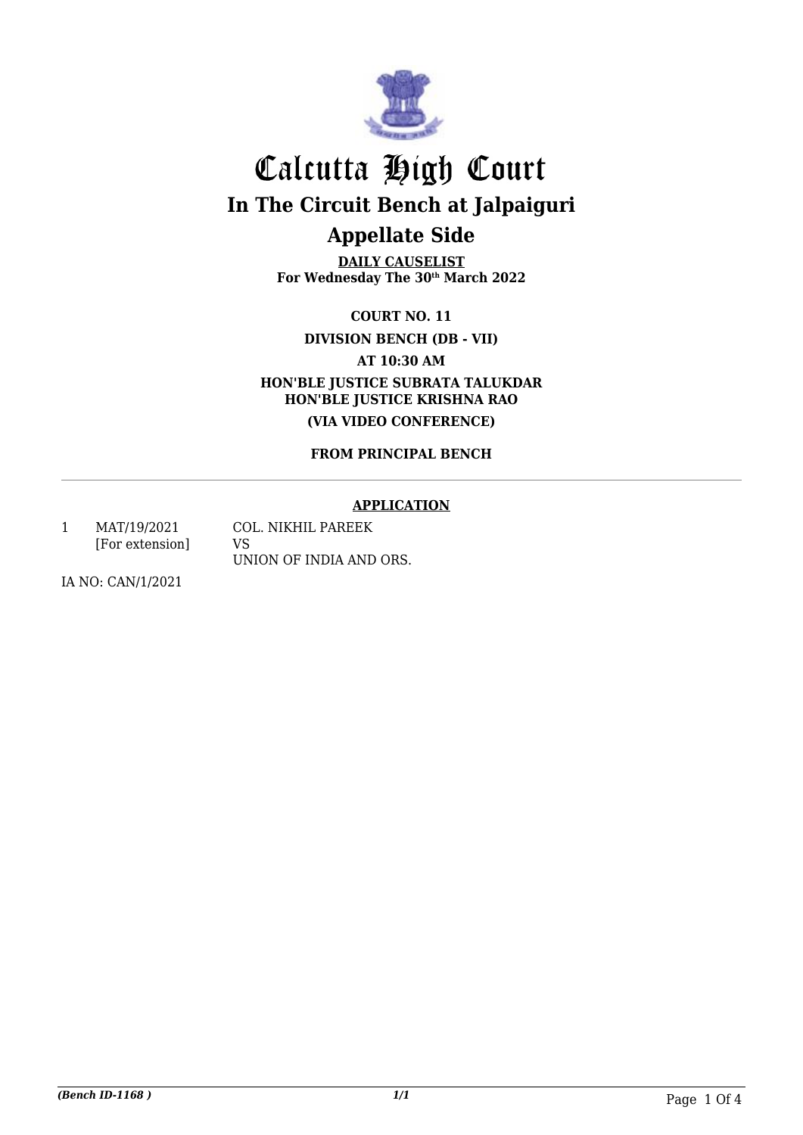

**DAILY CAUSELIST For Wednesday The 30th March 2022**

> **COURT NO. 11 DIVISION BENCH (DB - VII)**

> > **AT 10:30 AM**

**HON'BLE JUSTICE SUBRATA TALUKDAR HON'BLE JUSTICE KRISHNA RAO (VIA VIDEO CONFERENCE)**

**FROM PRINCIPAL BENCH**

### **APPLICATION**

1 MAT/19/2021 [For extension] COL. NIKHIL PAREEK VS UNION OF INDIA AND ORS.

IA NO: CAN/1/2021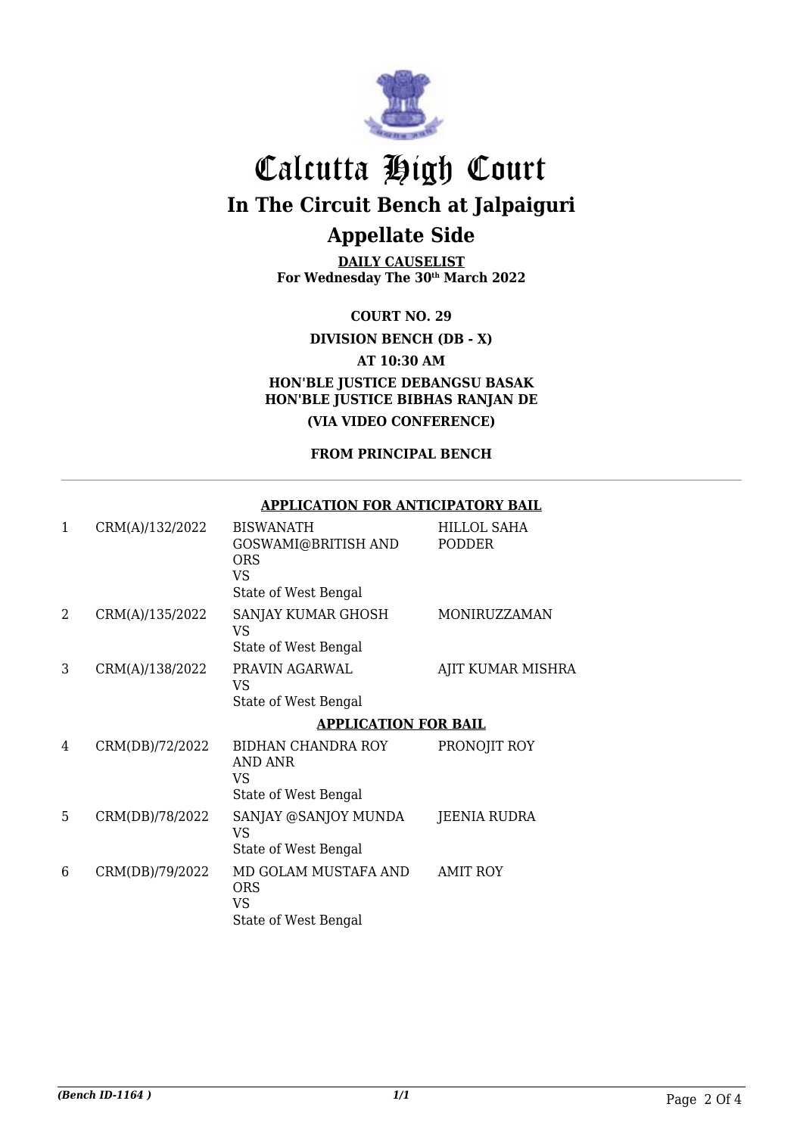

**DAILY CAUSELIST For Wednesday The 30th March 2022**

**COURT NO. 29**

**DIVISION BENCH (DB - X)**

**AT 10:30 AM**

**HON'BLE JUSTICE DEBANGSU BASAK HON'BLE JUSTICE BIBHAS RANJAN DE (VIA VIDEO CONFERENCE)**

**FROM PRINCIPAL BENCH**

**APPLICATION FOR ANTICIPATORY BAIL**

#### 1 CRM(A)/132/2022 BISWANATH GOSWAMI@BRITISH AND ORS VS State of West Bengal HILLOL SAHA PODDER

| 2 | CRM(A)/135/2022 | SANJAY KUMAR GHOSH<br>VS<br>State of West Bengal                 | MONIRUZZAMAN        |  |
|---|-----------------|------------------------------------------------------------------|---------------------|--|
| 3 | CRM(A)/138/2022 | PRAVIN AGARWAL<br>VS<br>State of West Bengal                     | AJIT KUMAR MISHRA   |  |
|   |                 | <b>APPLICATION FOR BAIL</b>                                      |                     |  |
| 4 | CRM(DB)/72/2022 | BIDHAN CHANDRA ROY<br>AND ANR<br>VS<br>State of West Bengal      | PRONOJIT ROY        |  |
| 5 | CRM(DB)/78/2022 | SANJAY @SANJOY MUNDA<br>VS<br>State of West Bengal               | <b>JEENIA RUDRA</b> |  |
| 6 | CRM(DB)/79/2022 | MD GOLAM MUSTAFA AND<br><b>ORS</b><br>VS<br>State of West Bengal | <b>AMIT ROY</b>     |  |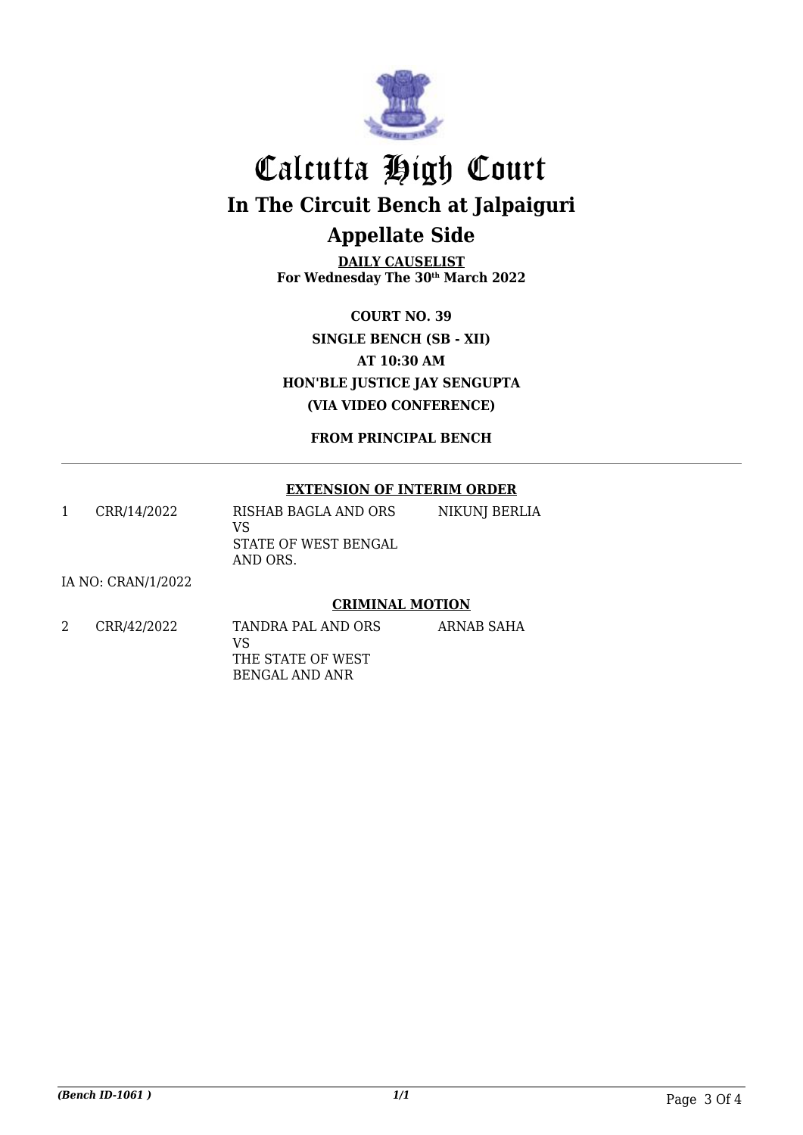

**DAILY CAUSELIST For Wednesday The 30th March 2022**

**COURT NO. 39 SINGLE BENCH (SB - XII) AT 10:30 AM HON'BLE JUSTICE JAY SENGUPTA (VIA VIDEO CONFERENCE)**

**FROM PRINCIPAL BENCH**

### **EXTENSION OF INTERIM ORDER**

1 CRR/14/2022 RISHAB BAGLA AND ORS VS STATE OF WEST BENGAL AND ORS. NIKUNJ BERLIA

IA NO: CRAN/1/2022

### **CRIMINAL MOTION**

ARNAB SAHA

2 CRR/42/2022 TANDRA PAL AND ORS VS THE STATE OF WEST BENGAL AND ANR